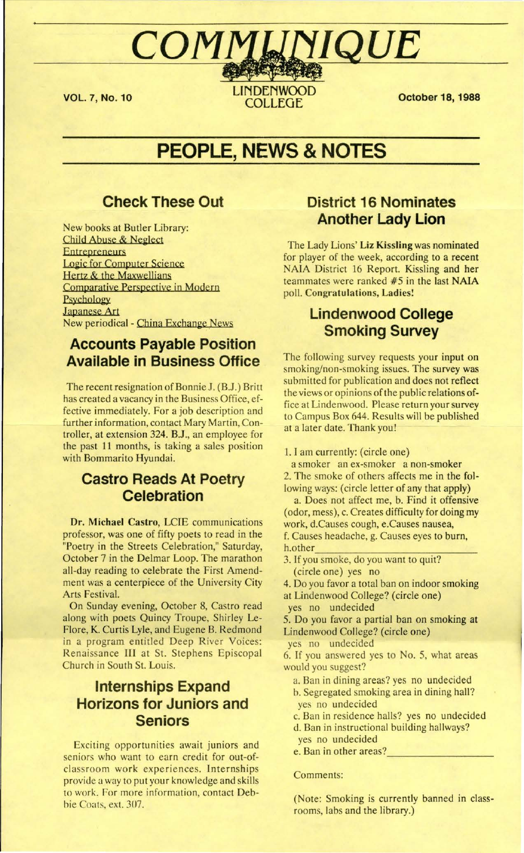#### **VOL. 7, No. 10**

**LINDENWOOD** COLLEGE

COMMUNIQUE

**October 18, 1988** 

# **PEOPLE, NEWS & NOTES**

## **Check These Out**

New books at Butler Library: Child Abuse & Neglect **Entrepreneurs** Logic for Computer Science Hertz & the Maxwellians Comparative Perspective in Modern Psychology Japanese Art New periodical - China Exchange News

# **Accounts Payable Position Available in Business Office**

The recent resignation of Bonnie J. (B.J.) Britt has created a vacancy in the Business Office, effective immediately. For a job description and further information, contact Mary Martin, Controller, at extension 324. B.J., an employee for the past 11 months, is taking a sales position with Bommarito Hyundai.

## **Castro Reads At Poetry Celebration**

**Dr. Michael Castro,** LCIE communications professor, was one of fifty poets to read in the "Poetry in the Streets Celebration," Saturday, October 7 in the Delmar Loop. The marathon all-day reading to celebrate the First Amendment was a centerpiece of the University City Arts Festival.

On Sunday evening, October 8, Castro read along with poets Quincy Troupe, Shirley Leflore , **K.** Curtis Lyle, and Eugene B. Redmond in a program entitled Deep River Voices: Renaissance III at St. Stephens Episcopal Church in South St. Louis.

# **Internships Expand Horizons for Juniors and**  $S$ eniors

Exciting opportunities await juniors and seniors who want to earn credit for out-ofclassroom work experiences. Internships provide a way to put your knowledge and skills to work. For more information, contact Debbie Coats, ext. 307.

# **District 16 Nominates Another Lady Lion**

I The Lady Lions' **Liz Kissling** was nominated for player of the week, according to a recent NAIA District 16 Report. Kissling and her teammates were ranked #5 in the last NAIA poll. **Congratulations, Ladies!** 

# **Lindenwoed College Smoking Survey**

The following survey requests your input on smoking/non-smoking issues. The survey was submitted for publication and does not reflect the views or opinions of the public relations office at Lindenwood. Please return your survey to Campus Box 644. Results will be published at a later date. Thank you!

1. I am currently: ( circle one)

a smoker an ex-smoker a non-smoker 2. The smoke of others affects me in the following ways: (circle letter of any that apply)

a. Does not affect me, b. Find it offensive ( odor, mess), c. Creates difficulty for doing my work, d.Causes cough, e.Causes nausea,

f. Causes headache, g. Causes eyes to burn, h.other<br>3. If you smoke, do you want to quit?

(circle one) yes no

4. Do you favor a total ban on indoor smoking at Lindenwood College? ( circle one)

yes no undecided

5. Do you favor a partial ban on smoking at Lindenwood College? (circle one)

yes no undecided

6. If you answered yes to No. 5, what areas would you suggest?

- a. Ban in dining areas? yes no undecided b. Segregated smoking area in dining hall?
- yes no undecided
- c. Ban in residence halls? yes no undecided d. Ban in instructional building hallways?
- 
- yes no undecided

e. Ban in other areas? *- -=~'-.* -.. - ,\_..:...::.... -'-\_ -' --:-►

Comments:

(Note: Smoking is currently banned in class- *<sup>i</sup>* rooms, labs and the library.)